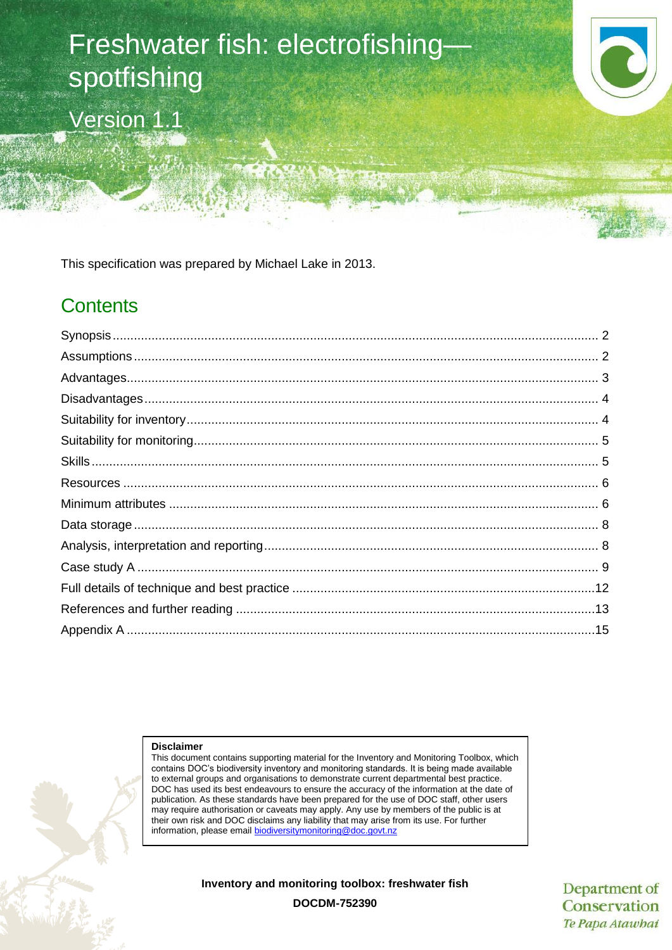# Freshwater fish: electrofishing spotfishing Version 1.1

This specification was prepared by Michael Lake in 2013.

# **Contents**

**Disclaimer**

This document contains supporting material for the Inventory and Monitoring Toolbox, which contains DOC's biodiversity inventory and monitoring standards. It is being made available to external groups and organisations to demonstrate current departmental best practice. DOC has used its best endeavours to ensure the accuracy of the information at the date of publication. As these standards have been prepared for the use of DOC staff, other users may require authorisation or caveats may apply. Any use by members of the public is at their own risk and DOC disclaims any liability that may arise from its use. For further information, please emai[l biodiversitymonitoring@doc.govt.nz](mailto:biodiversitymonitoring@doc.govt.nz)

**Inventory and monitoring toolbox: freshwater fish**

Department of Conservation Te Papa Atawbai

**DOCDM-752390**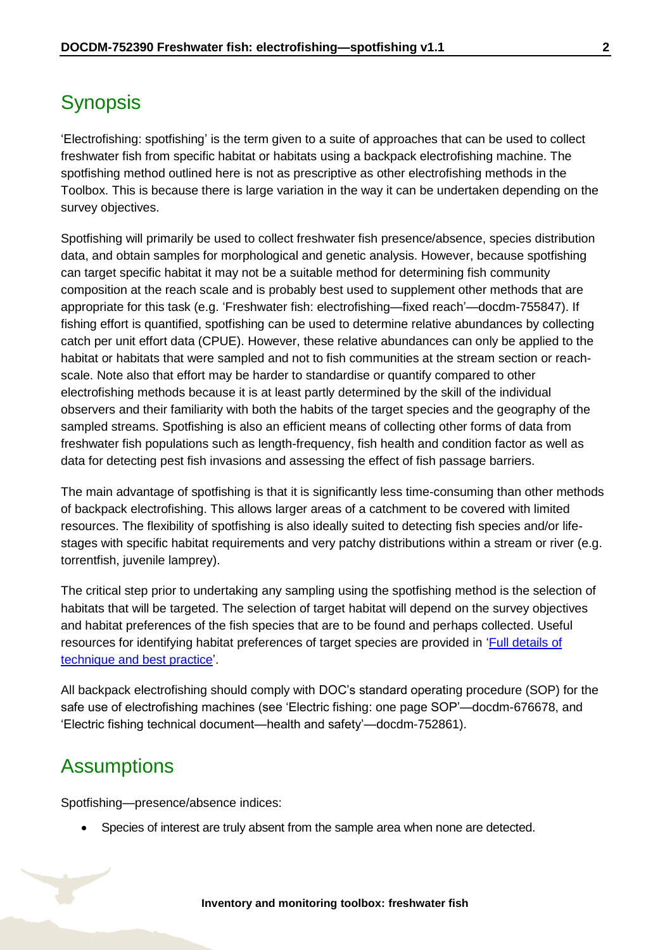# <span id="page-1-0"></span>**Synopsis**

'Electrofishing: spotfishing' is the term given to a suite of approaches that can be used to collect freshwater fish from specific habitat or habitats using a backpack electrofishing machine. The spotfishing method outlined here is not as prescriptive as other electrofishing methods in the Toolbox. This is because there is large variation in the way it can be undertaken depending on the survey objectives.

Spotfishing will primarily be used to collect freshwater fish presence/absence, species distribution data, and obtain samples for morphological and genetic analysis. However, because spotfishing can target specific habitat it may not be a suitable method for determining fish community composition at the reach scale and is probably best used to supplement other methods that are appropriate for this task (e.g. 'Freshwater fish: electrofishing—fixed reach'—docdm-755847). If fishing effort is quantified, spotfishing can be used to determine relative abundances by collecting catch per unit effort data (CPUE). However, these relative abundances can only be applied to the habitat or habitats that were sampled and not to fish communities at the stream section or reachscale. Note also that effort may be harder to standardise or quantify compared to other electrofishing methods because it is at least partly determined by the skill of the individual observers and their familiarity with both the habits of the target species and the geography of the sampled streams. Spotfishing is also an efficient means of collecting other forms of data from freshwater fish populations such as length-frequency, fish health and condition factor as well as data for detecting pest fish invasions and assessing the effect of fish passage barriers.

The main advantage of spotfishing is that it is significantly less time-consuming than other methods of backpack electrofishing. This allows larger areas of a catchment to be covered with limited resources. The flexibility of spotfishing is also ideally suited to detecting fish species and/or lifestages with specific habitat requirements and very patchy distributions within a stream or river (e.g. torrentfish, juvenile lamprey).

The critical step prior to undertaking any sampling using the spotfishing method is the selection of habitats that will be targeted. The selection of target habitat will depend on the survey objectives and habitat preferences of the fish species that are to be found and perhaps collected. Useful resources for identifying habitat preferences of target species are provided in 'Full details of [technique and best practice'.](#page-11-0)

All backpack electrofishing should comply with DOC's standard operating procedure (SOP) for the safe use of electrofishing machines (see 'Electric fishing: one page SOP'—docdm-676678, and 'Electric fishing technical document—health and safety'—docdm-752861).

## <span id="page-1-1"></span>**Assumptions**

Spotfishing—presence/absence indices:

Species of interest are truly absent from the sample area when none are detected.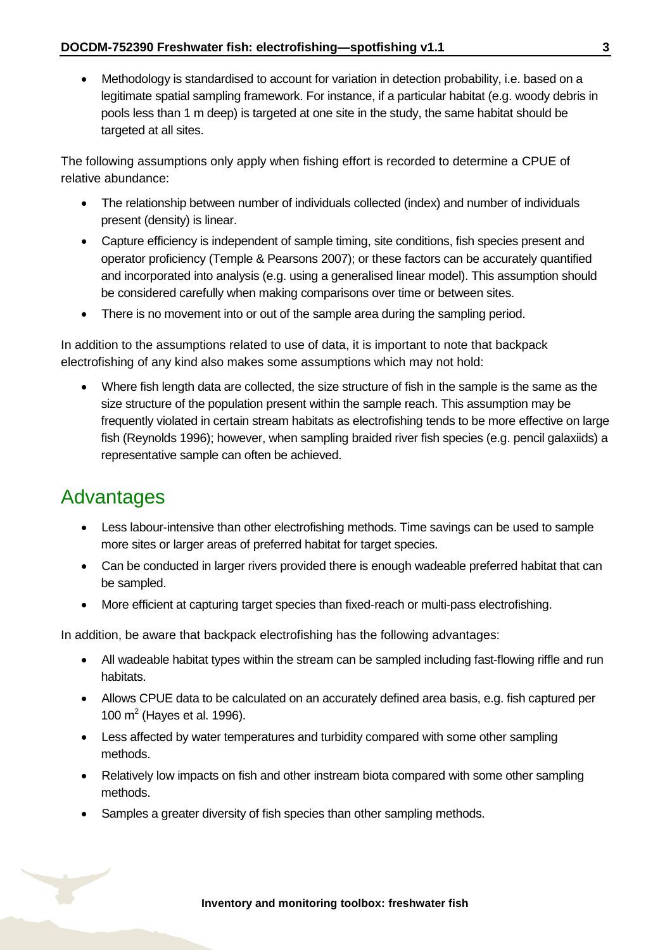Methodology is standardised to account for variation in detection probability, i.e. based on a legitimate spatial sampling framework. For instance, if a particular habitat (e.g. woody debris in pools less than 1 m deep) is targeted at one site in the study, the same habitat should be targeted at all sites.

The following assumptions only apply when fishing effort is recorded to determine a CPUE of relative abundance:

- The relationship between number of individuals collected (index) and number of individuals present (density) is linear.
- Capture efficiency is independent of sample timing, site conditions, fish species present and operator proficiency (Temple & Pearsons 2007); or these factors can be accurately quantified and incorporated into analysis (e.g. using a generalised linear model). This assumption should be considered carefully when making comparisons over time or between sites.
- There is no movement into or out of the sample area during the sampling period.

In addition to the assumptions related to use of data, it is important to note that backpack electrofishing of any kind also makes some assumptions which may not hold:

 Where fish length data are collected, the size structure of fish in the sample is the same as the size structure of the population present within the sample reach. This assumption may be frequently violated in certain stream habitats as electrofishing tends to be more effective on large fish (Reynolds 1996); however, when sampling braided river fish species (e.g. pencil galaxiids) a representative sample can often be achieved.

### <span id="page-2-0"></span>Advantages

- Less labour-intensive than other electrofishing methods. Time savings can be used to sample more sites or larger areas of preferred habitat for target species.
- Can be conducted in larger rivers provided there is enough wadeable preferred habitat that can be sampled.
- More efficient at capturing target species than fixed-reach or multi-pass electrofishing.

In addition, be aware that backpack electrofishing has the following advantages:

- All wadeable habitat types within the stream can be sampled including fast-flowing riffle and run habitats.
- Allows CPUE data to be calculated on an accurately defined area basis, e.g. fish captured per 100  $m^2$  (Hayes et al. 1996).
- Less affected by water temperatures and turbidity compared with some other sampling methods.
- Relatively low impacts on fish and other instream biota compared with some other sampling methods.
- Samples a greater diversity of fish species than other sampling methods.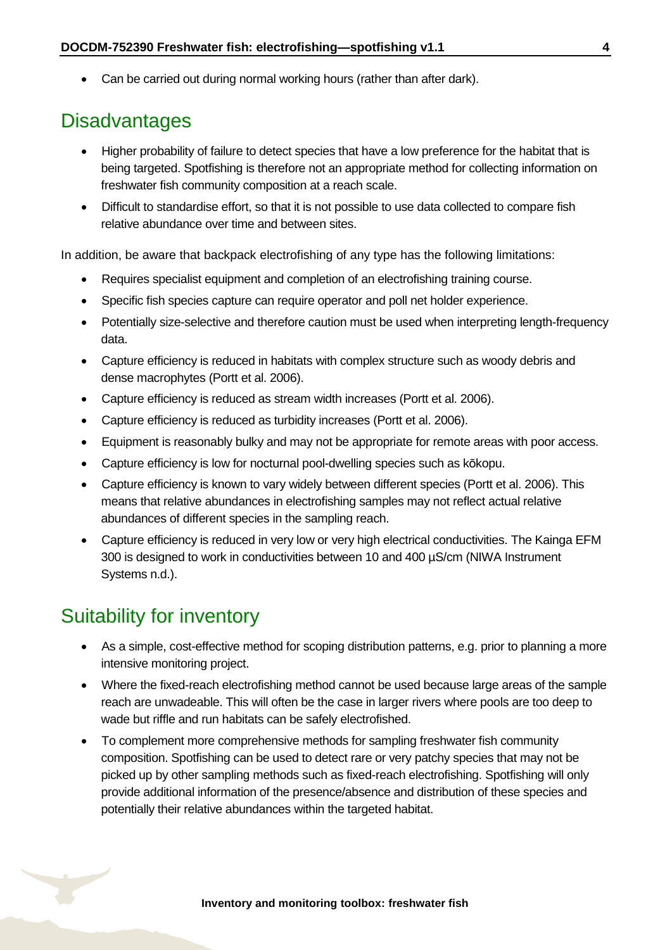• Can be carried out during normal working hours (rather than after dark).

### <span id="page-3-0"></span>**Disadvantages**

- Higher probability of failure to detect species that have a low preference for the habitat that is being targeted. Spotfishing is therefore not an appropriate method for collecting information on freshwater fish community composition at a reach scale.
- Difficult to standardise effort, so that it is not possible to use data collected to compare fish relative abundance over time and between sites.

In addition, be aware that backpack electrofishing of any type has the following limitations:

- Requires specialist equipment and completion of an electrofishing training course.
- Specific fish species capture can require operator and poll net holder experience.
- Potentially size-selective and therefore caution must be used when interpreting length-frequency data.
- Capture efficiency is reduced in habitats with complex structure such as woody debris and dense macrophytes (Portt et al. 2006).
- Capture efficiency is reduced as stream width increases (Portt et al. 2006).
- Capture efficiency is reduced as turbidity increases (Portt et al. 2006).
- Equipment is reasonably bulky and may not be appropriate for remote areas with poor access.
- Capture efficiency is low for nocturnal pool-dwelling species such as kōkopu.
- Capture efficiency is known to vary widely between different species (Portt et al. 2006). This means that relative abundances in electrofishing samples may not reflect actual relative abundances of different species in the sampling reach.
- Capture efficiency is reduced in very low or very high electrical conductivities. The Kainga EFM 300 is designed to work in conductivities between 10 and 400 µS/cm (NIWA Instrument Systems n.d.).

## <span id="page-3-1"></span>Suitability for inventory

- As a simple, cost-effective method for scoping distribution patterns, e.g. prior to planning a more intensive monitoring project.
- Where the fixed-reach electrofishing method cannot be used because large areas of the sample reach are unwadeable. This will often be the case in larger rivers where pools are too deep to wade but riffle and run habitats can be safely electrofished.
- To complement more comprehensive methods for sampling freshwater fish community composition. Spotfishing can be used to detect rare or very patchy species that may not be picked up by other sampling methods such as fixed-reach electrofishing. Spotfishing will only provide additional information of the presence/absence and distribution of these species and potentially their relative abundances within the targeted habitat.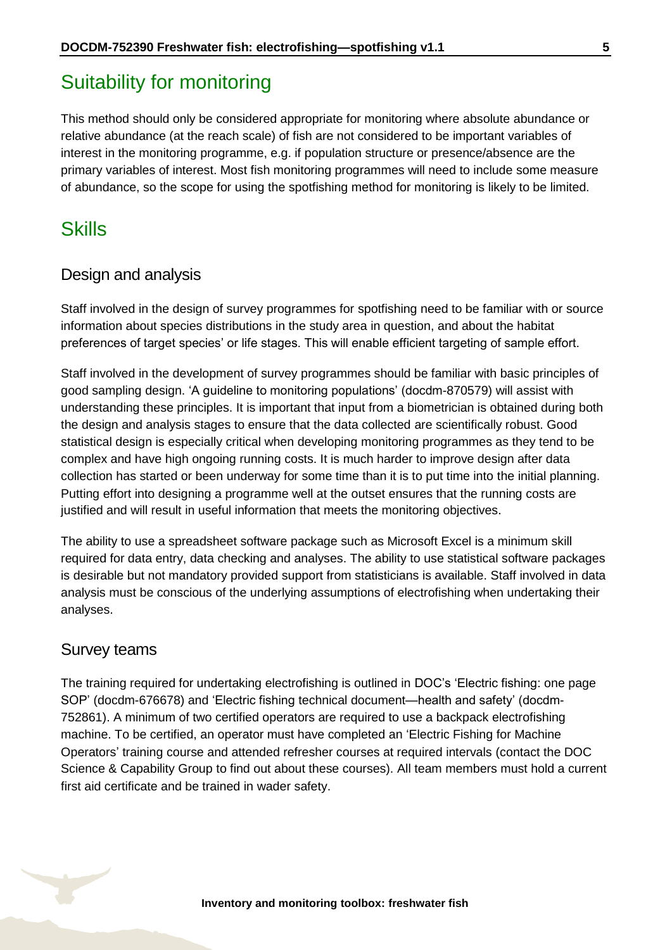# <span id="page-4-0"></span>Suitability for monitoring

This method should only be considered appropriate for monitoring where absolute abundance or relative abundance (at the reach scale) of fish are not considered to be important variables of interest in the monitoring programme, e.g. if population structure or presence/absence are the primary variables of interest. Most fish monitoring programmes will need to include some measure of abundance, so the scope for using the spotfishing method for monitoring is likely to be limited.

### <span id="page-4-1"></span>**Skills**

#### Design and analysis

Staff involved in the design of survey programmes for spotfishing need to be familiar with or source information about species distributions in the study area in question, and about the habitat preferences of target species' or life stages. This will enable efficient targeting of sample effort.

Staff involved in the development of survey programmes should be familiar with basic principles of good sampling design. 'A guideline to monitoring populations' (docdm-870579) will assist with understanding these principles. It is important that input from a biometrician is obtained during both the design and analysis stages to ensure that the data collected are scientifically robust. Good statistical design is especially critical when developing monitoring programmes as they tend to be complex and have high ongoing running costs. It is much harder to improve design after data collection has started or been underway for some time than it is to put time into the initial planning. Putting effort into designing a programme well at the outset ensures that the running costs are justified and will result in useful information that meets the monitoring objectives.

The ability to use a spreadsheet software package such as Microsoft Excel is a minimum skill required for data entry, data checking and analyses. The ability to use statistical software packages is desirable but not mandatory provided support from statisticians is available. Staff involved in data analysis must be conscious of the underlying assumptions of electrofishing when undertaking their analyses.

#### Survey teams

The training required for undertaking electrofishing is outlined in DOC's 'Electric fishing: one page SOP' (docdm-676678) and 'Electric fishing technical document—health and safety' (docdm-752861). A minimum of two certified operators are required to use a backpack electrofishing machine. To be certified, an operator must have completed an 'Electric Fishing for Machine Operators' training course and attended refresher courses at required intervals (contact the DOC Science & Capability Group to find out about these courses). All team members must hold a current first aid certificate and be trained in wader safety.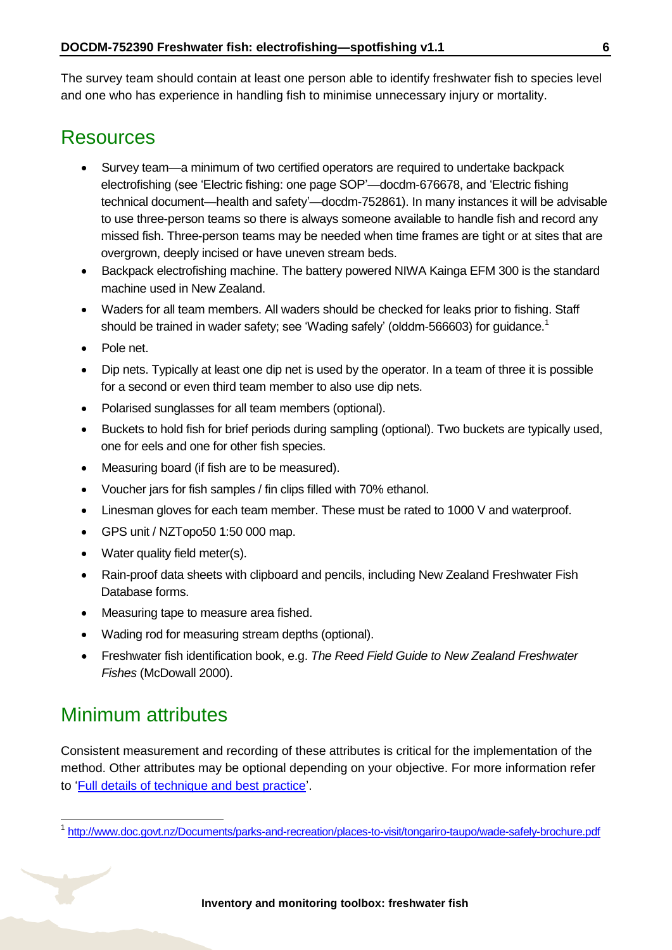The survey team should contain at least one person able to identify freshwater fish to species level and one who has experience in handling fish to minimise unnecessary injury or mortality.

### <span id="page-5-0"></span>Resources

- Survey team—a minimum of two certified operators are required to undertake backpack electrofishing (see 'Electric fishing: one page SOP'—docdm-676678, and 'Electric fishing technical document—health and safety'—docdm-752861). In many instances it will be advisable to use three-person teams so there is always someone available to handle fish and record any missed fish. Three-person teams may be needed when time frames are tight or at sites that are overgrown, deeply incised or have uneven stream beds.
- Backpack electrofishing machine. The battery powered NIWA Kainga EFM 300 is the standard machine used in New Zealand.
- Waders for all team members. All waders should be checked for leaks prior to fishing. Staff should be trained in wader safety; see 'Wading safely' (olddm-566603) for guidance.<sup>1</sup>
- Pole net.
- Dip nets. Typically at least one dip net is used by the operator. In a team of three it is possible for a second or even third team member to also use dip nets.
- Polarised sunglasses for all team members (optional).
- Buckets to hold fish for brief periods during sampling (optional). Two buckets are typically used, one for eels and one for other fish species.
- Measuring board (if fish are to be measured).
- Voucher jars for fish samples / fin clips filled with 70% ethanol.
- Linesman gloves for each team member. These must be rated to 1000 V and waterproof.
- GPS unit / NZTopo50 1:50 000 map.
- Water quality field meter(s).
- Rain-proof data sheets with clipboard and pencils, including New Zealand Freshwater Fish Database forms.
- Measuring tape to measure area fished.
- Wading rod for measuring stream depths (optional).
- Freshwater fish identification book, e.g. *The Reed Field Guide to New Zealand Freshwater Fishes* (McDowall 2000).

## <span id="page-5-1"></span>Minimum attributes

-

Consistent measurement and recording of these attributes is critical for the implementation of the method. Other attributes may be optional depending on your objective. For more information refer to ['Full details of technique and best practice'](#page-11-0).

<sup>&</sup>lt;sup>1</sup> <http://www.doc.govt.nz/Documents/parks-and-recreation/places-to-visit/tongariro-taupo/wade-safely-brochure.pdf>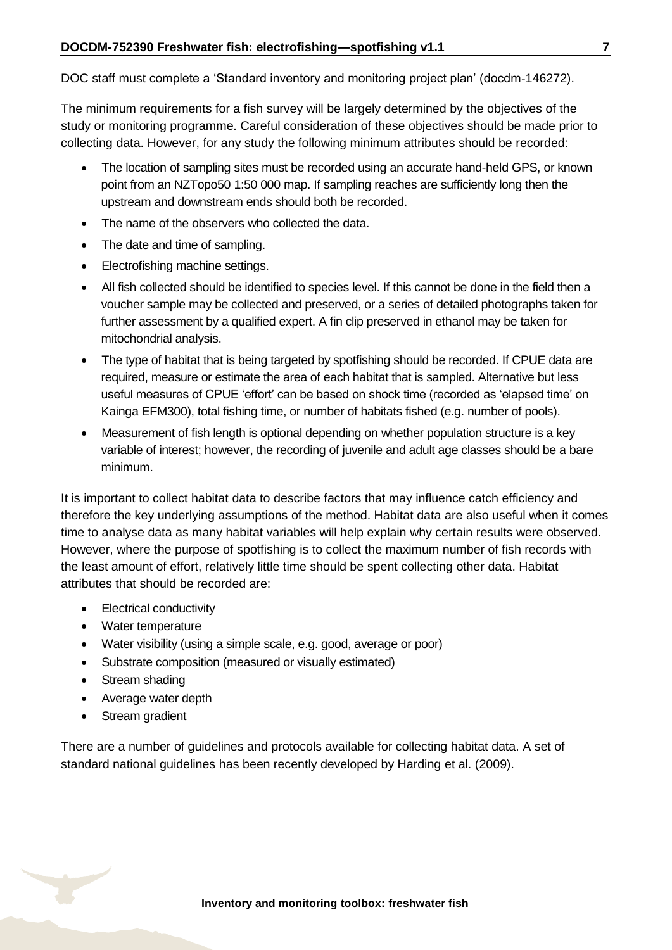DOC staff must complete a 'Standard inventory and monitoring project plan' (docdm-146272).

The minimum requirements for a fish survey will be largely determined by the objectives of the study or monitoring programme. Careful consideration of these objectives should be made prior to collecting data. However, for any study the following minimum attributes should be recorded:

- The location of sampling sites must be recorded using an accurate hand-held GPS, or known point from an NZTopo50 1:50 000 map. If sampling reaches are sufficiently long then the upstream and downstream ends should both be recorded.
- The name of the observers who collected the data.
- The date and time of sampling.
- Electrofishing machine settings.
- All fish collected should be identified to species level. If this cannot be done in the field then a voucher sample may be collected and preserved, or a series of detailed photographs taken for further assessment by a qualified expert. A fin clip preserved in ethanol may be taken for mitochondrial analysis.
- The type of habitat that is being targeted by spotfishing should be recorded. If CPUE data are required, measure or estimate the area of each habitat that is sampled. Alternative but less useful measures of CPUE 'effort' can be based on shock time (recorded as 'elapsed time' on Kainga EFM300), total fishing time, or number of habitats fished (e.g. number of pools).
- Measurement of fish length is optional depending on whether population structure is a key variable of interest; however, the recording of juvenile and adult age classes should be a bare minimum.

It is important to collect habitat data to describe factors that may influence catch efficiency and therefore the key underlying assumptions of the method. Habitat data are also useful when it comes time to analyse data as many habitat variables will help explain why certain results were observed. However, where the purpose of spotfishing is to collect the maximum number of fish records with the least amount of effort, relatively little time should be spent collecting other data. Habitat attributes that should be recorded are:

- Electrical conductivity
- Water temperature
- Water visibility (using a simple scale, e.g. good, average or poor)
- Substrate composition (measured or visually estimated)
- Stream shading
- Average water depth
- Stream gradient

There are a number of guidelines and protocols available for collecting habitat data. A set of standard national guidelines has been recently developed by Harding et al. (2009).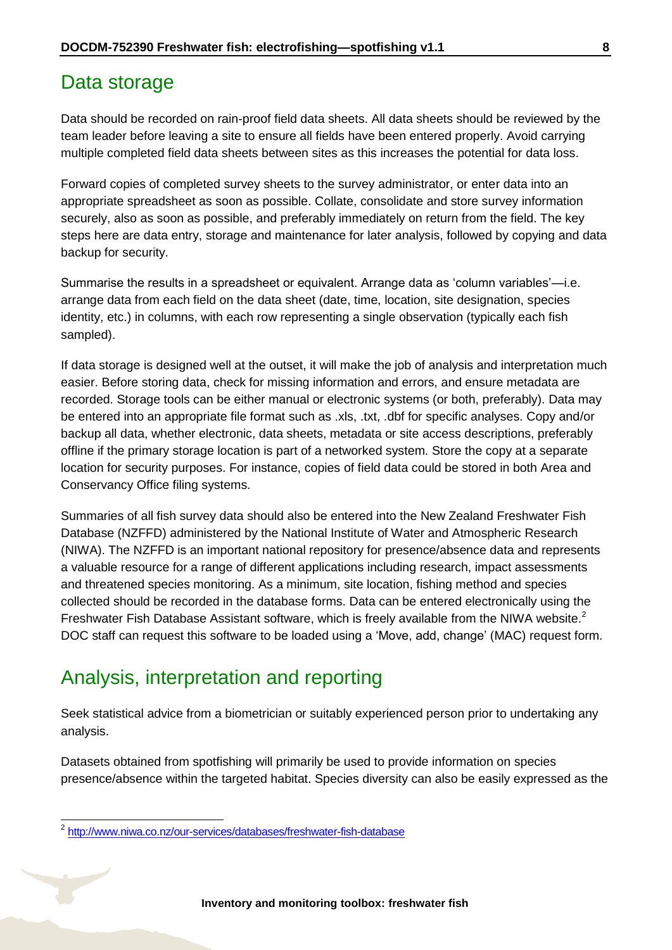#### <span id="page-7-0"></span>Data storage

Data should be recorded on rain-proof field data sheets. All data sheets should be reviewed by the team leader before leaving a site to ensure all fields have been entered properly. Avoid carrying multiple completed field data sheets between sites as this increases the potential for data loss.

Forward copies of completed survey sheets to the survey administrator, or enter data into an appropriate spreadsheet as soon as possible. Collate, consolidate and store survey information securely, also as soon as possible, and preferably immediately on return from the field. The key steps here are data entry, storage and maintenance for later analysis, followed by copying and data backup for security.

Summarise the results in a spreadsheet or equivalent. Arrange data as 'column variables'—i.e. arrange data from each field on the data sheet (date, time, location, site designation, species identity, etc.) in columns, with each row representing a single observation (typically each fish sampled).

If data storage is designed well at the outset, it will make the job of analysis and interpretation much easier. Before storing data, check for missing information and errors, and ensure metadata are recorded. Storage tools can be either manual or electronic systems (or both, preferably). Data may be entered into an appropriate file format such as .xls, .txt, .dbf for specific analyses. Copy and/or backup all data, whether electronic, data sheets, metadata or site access descriptions, preferably offline if the primary storage location is part of a networked system. Store the copy at a separate location for security purposes. For instance, copies of field data could be stored in both Area and Conservancy Office filing systems.

Summaries of all fish survey data should also be entered into the New Zealand Freshwater Fish Database (NZFFD) administered by the National Institute of Water and Atmospheric Research (NIWA). The NZFFD is an important national repository for presence/absence data and represents a valuable resource for a range of different applications including research, impact assessments and threatened species monitoring. As a minimum, site location, fishing method and species collected should be recorded in the database forms. Data can be entered electronically using the Freshwater Fish Database Assistant software, which is freely available from the NIWA website.<sup>2</sup> DOC staff can request this software to be loaded using a 'Move, add, change' (MAC) request form.

## <span id="page-7-1"></span>Analysis, interpretation and reporting

Seek statistical advice from a biometrician or suitably experienced person prior to undertaking any analysis.

Datasets obtained from spotfishing will primarily be used to provide information on species presence/absence within the targeted habitat. Species diversity can also be easily expressed as the

-

<sup>&</sup>lt;sup>2</sup> <http://www.niwa.co.nz/our-services/databases/freshwater-fish-database>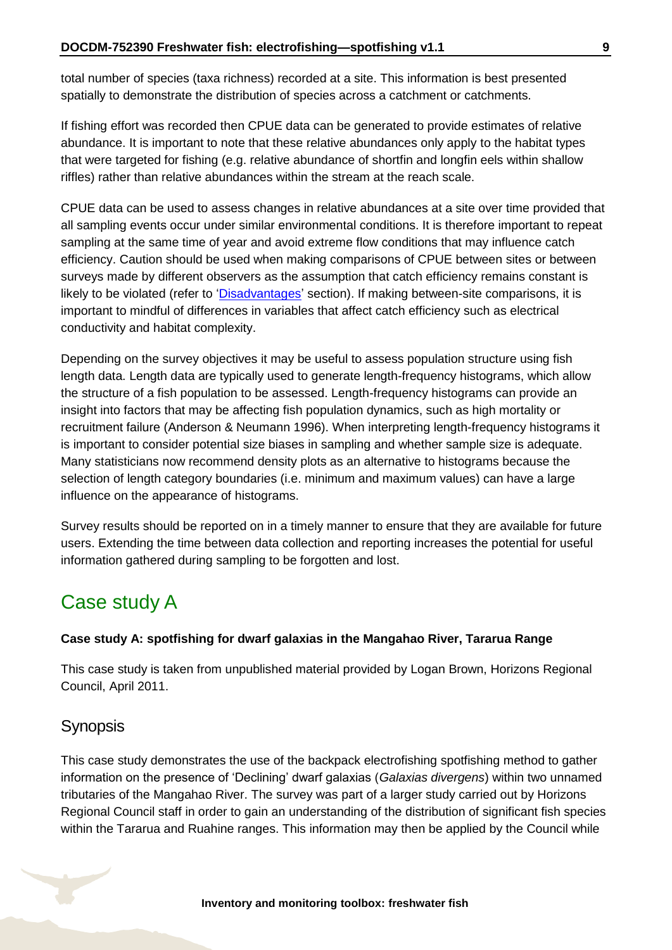total number of species (taxa richness) recorded at a site. This information is best presented spatially to demonstrate the distribution of species across a catchment or catchments.

If fishing effort was recorded then CPUE data can be generated to provide estimates of relative abundance. It is important to note that these relative abundances only apply to the habitat types that were targeted for fishing (e.g. relative abundance of shortfin and longfin eels within shallow riffles) rather than relative abundances within the stream at the reach scale.

CPUE data can be used to assess changes in relative abundances at a site over time provided that all sampling events occur under similar environmental conditions. It is therefore important to repeat sampling at the same time of year and avoid extreme flow conditions that may influence catch efficiency. Caution should be used when making comparisons of CPUE between sites or between surveys made by different observers as the assumption that catch efficiency remains constant is likely to be violated (refer to ['Disadvantages'](#page-3-0) section). If making between-site comparisons, it is important to mindful of differences in variables that affect catch efficiency such as electrical conductivity and habitat complexity.

Depending on the survey objectives it may be useful to assess population structure using fish length data. Length data are typically used to generate length-frequency histograms, which allow the structure of a fish population to be assessed. Length-frequency histograms can provide an insight into factors that may be affecting fish population dynamics, such as high mortality or recruitment failure (Anderson & Neumann 1996). When interpreting length-frequency histograms it is important to consider potential size biases in sampling and whether sample size is adequate. Many statisticians now recommend density plots as an alternative to histograms because the selection of length category boundaries (i.e. minimum and maximum values) can have a large influence on the appearance of histograms.

Survey results should be reported on in a timely manner to ensure that they are available for future users. Extending the time between data collection and reporting increases the potential for useful information gathered during sampling to be forgotten and lost.

## <span id="page-8-0"></span>Case study A

#### **Case study A: spotfishing for dwarf galaxias in the Mangahao River, Tararua Range**

This case study is taken from unpublished material provided by Logan Brown, Horizons Regional Council, April 2011.

#### **Synopsis**

This case study demonstrates the use of the backpack electrofishing spotfishing method to gather information on the presence of 'Declining' dwarf galaxias (*Galaxias divergens*) within two unnamed tributaries of the Mangahao River. The survey was part of a larger study carried out by Horizons Regional Council staff in order to gain an understanding of the distribution of significant fish species within the Tararua and Ruahine ranges. This information may then be applied by the Council while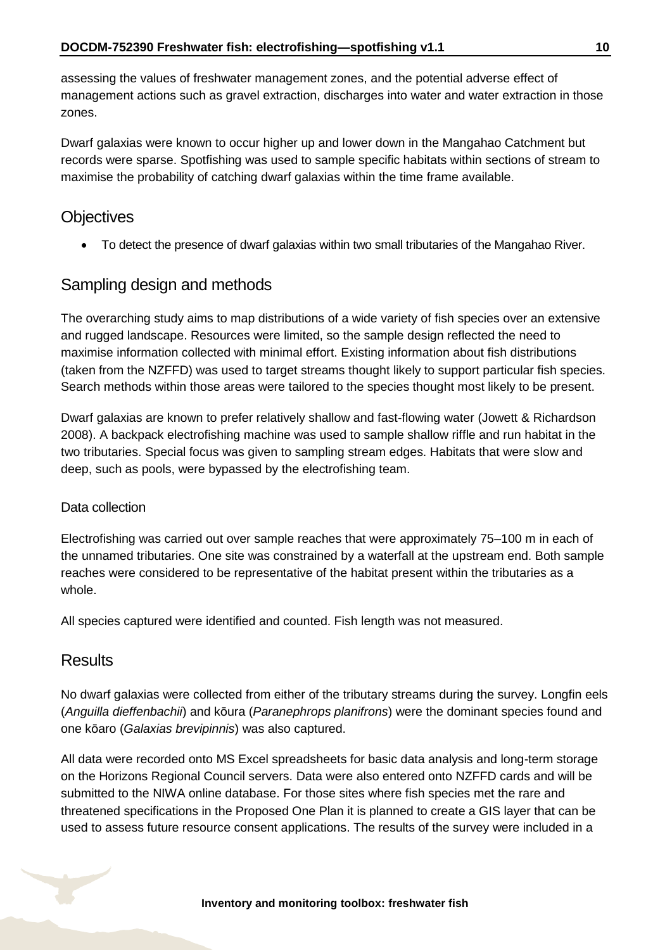assessing the values of freshwater management zones, and the potential adverse effect of management actions such as gravel extraction, discharges into water and water extraction in those zones.

Dwarf galaxias were known to occur higher up and lower down in the Mangahao Catchment but records were sparse. Spotfishing was used to sample specific habitats within sections of stream to maximise the probability of catching dwarf galaxias within the time frame available.

#### **Objectives**

To detect the presence of dwarf galaxias within two small tributaries of the Mangahao River.

#### Sampling design and methods

The overarching study aims to map distributions of a wide variety of fish species over an extensive and rugged landscape. Resources were limited, so the sample design reflected the need to maximise information collected with minimal effort. Existing information about fish distributions (taken from the NZFFD) was used to target streams thought likely to support particular fish species. Search methods within those areas were tailored to the species thought most likely to be present.

Dwarf galaxias are known to prefer relatively shallow and fast-flowing water (Jowett & Richardson 2008). A backpack electrofishing machine was used to sample shallow riffle and run habitat in the two tributaries. Special focus was given to sampling stream edges. Habitats that were slow and deep, such as pools, were bypassed by the electrofishing team.

#### Data collection

Electrofishing was carried out over sample reaches that were approximately 75–100 m in each of the unnamed tributaries. One site was constrained by a waterfall at the upstream end. Both sample reaches were considered to be representative of the habitat present within the tributaries as a whole.

All species captured were identified and counted. Fish length was not measured.

#### **Results**

No dwarf galaxias were collected from either of the tributary streams during the survey. Longfin eels (*Anguilla dieffenbachii*) and kōura (*Paranephrops planifrons*) were the dominant species found and one kōaro (*Galaxias brevipinnis*) was also captured.

All data were recorded onto MS Excel spreadsheets for basic data analysis and long-term storage on the Horizons Regional Council servers. Data were also entered onto NZFFD cards and will be submitted to the NIWA online database. For those sites where fish species met the rare and threatened specifications in the Proposed One Plan it is planned to create a GIS layer that can be used to assess future resource consent applications. The results of the survey were included in a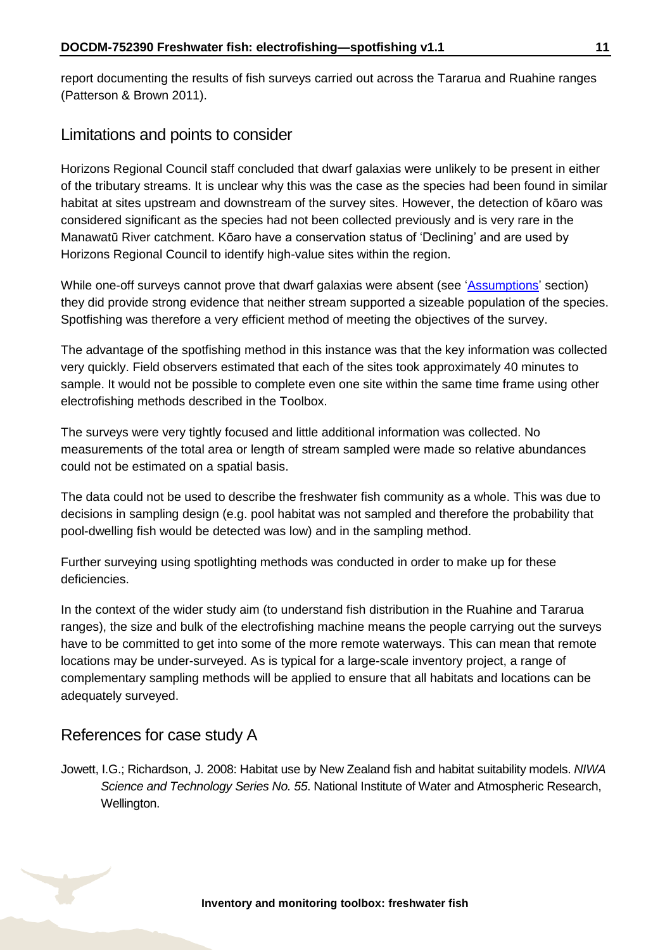report documenting the results of fish surveys carried out across the Tararua and Ruahine ranges (Patterson & Brown 2011).

#### Limitations and points to consider

Horizons Regional Council staff concluded that dwarf galaxias were unlikely to be present in either of the tributary streams. It is unclear why this was the case as the species had been found in similar habitat at sites upstream and downstream of the survey sites. However, the detection of kōaro was considered significant as the species had not been collected previously and is very rare in the Manawatū River catchment. Kōaro have a conservation status of 'Declining' and are used by Horizons Regional Council to identify high-value sites within the region.

While one-off surveys cannot prove that dwarf galaxias were absent (see ['Assumptions'](#page-1-1) section) they did provide strong evidence that neither stream supported a sizeable population of the species. Spotfishing was therefore a very efficient method of meeting the objectives of the survey.

The advantage of the spotfishing method in this instance was that the key information was collected very quickly. Field observers estimated that each of the sites took approximately 40 minutes to sample. It would not be possible to complete even one site within the same time frame using other electrofishing methods described in the Toolbox.

The surveys were very tightly focused and little additional information was collected. No measurements of the total area or length of stream sampled were made so relative abundances could not be estimated on a spatial basis.

The data could not be used to describe the freshwater fish community as a whole. This was due to decisions in sampling design (e.g. pool habitat was not sampled and therefore the probability that pool-dwelling fish would be detected was low) and in the sampling method.

Further surveying using spotlighting methods was conducted in order to make up for these deficiencies.

In the context of the wider study aim (to understand fish distribution in the Ruahine and Tararua ranges), the size and bulk of the electrofishing machine means the people carrying out the surveys have to be committed to get into some of the more remote waterways. This can mean that remote locations may be under-surveyed. As is typical for a large-scale inventory project, a range of complementary sampling methods will be applied to ensure that all habitats and locations can be adequately surveyed.

#### References for case study A

Jowett, I.G.; Richardson, J. 2008: Habitat use by New Zealand fish and habitat suitability models. *NIWA Science and Technology Series No. 55*. National Institute of Water and Atmospheric Research, Wellington.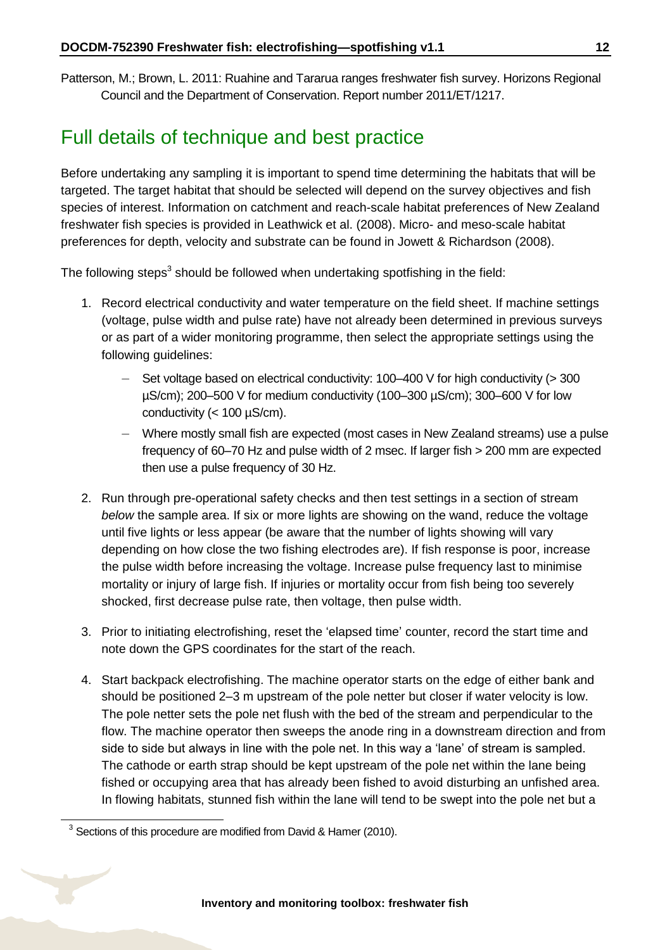Patterson, M.; Brown, L. 2011: Ruahine and Tararua ranges freshwater fish survey. Horizons Regional Council and the Department of Conservation. Report number 2011/ET/1217.

### <span id="page-11-0"></span>Full details of technique and best practice

Before undertaking any sampling it is important to spend time determining the habitats that will be targeted. The target habitat that should be selected will depend on the survey objectives and fish species of interest. Information on catchment and reach-scale habitat preferences of New Zealand freshwater fish species is provided in Leathwick et al. (2008). Micro- and meso-scale habitat preferences for depth, velocity and substrate can be found in Jowett & Richardson (2008).

The following steps<sup>3</sup> should be followed when undertaking spotfishing in the field:

- 1. Record electrical conductivity and water temperature on the field sheet. If machine settings (voltage, pulse width and pulse rate) have not already been determined in previous surveys or as part of a wider monitoring programme, then select the appropriate settings using the following guidelines:
	- Set voltage based on electrical conductivity:  $100-400$  V for high conductivity ( $>300$ µS/cm); 200–500 V for medium conductivity (100–300 µS/cm); 300–600 V for low conductivity  $(< 100 \mu S/cm)$ .
	- Where mostly small fish are expected (most cases in New Zealand streams) use a pulse frequency of 60–70 Hz and pulse width of 2 msec. If larger fish > 200 mm are expected then use a pulse frequency of 30 Hz.
- 2. Run through pre-operational safety checks and then test settings in a section of stream *below* the sample area. If six or more lights are showing on the wand, reduce the voltage until five lights or less appear (be aware that the number of lights showing will vary depending on how close the two fishing electrodes are). If fish response is poor, increase the pulse width before increasing the voltage. Increase pulse frequency last to minimise mortality or injury of large fish. If injuries or mortality occur from fish being too severely shocked, first decrease pulse rate, then voltage, then pulse width.
- 3. Prior to initiating electrofishing, reset the 'elapsed time' counter, record the start time and note down the GPS coordinates for the start of the reach.
- 4. Start backpack electrofishing. The machine operator starts on the edge of either bank and should be positioned 2–3 m upstream of the pole netter but closer if water velocity is low. The pole netter sets the pole net flush with the bed of the stream and perpendicular to the flow. The machine operator then sweeps the anode ring in a downstream direction and from side to side but always in line with the pole net. In this way a 'lane' of stream is sampled. The cathode or earth strap should be kept upstream of the pole net within the lane being fished or occupying area that has already been fished to avoid disturbing an unfished area. In flowing habitats, stunned fish within the lane will tend to be swept into the pole net but a

-

 $3$  Sections of this procedure are modified from David & Hamer (2010).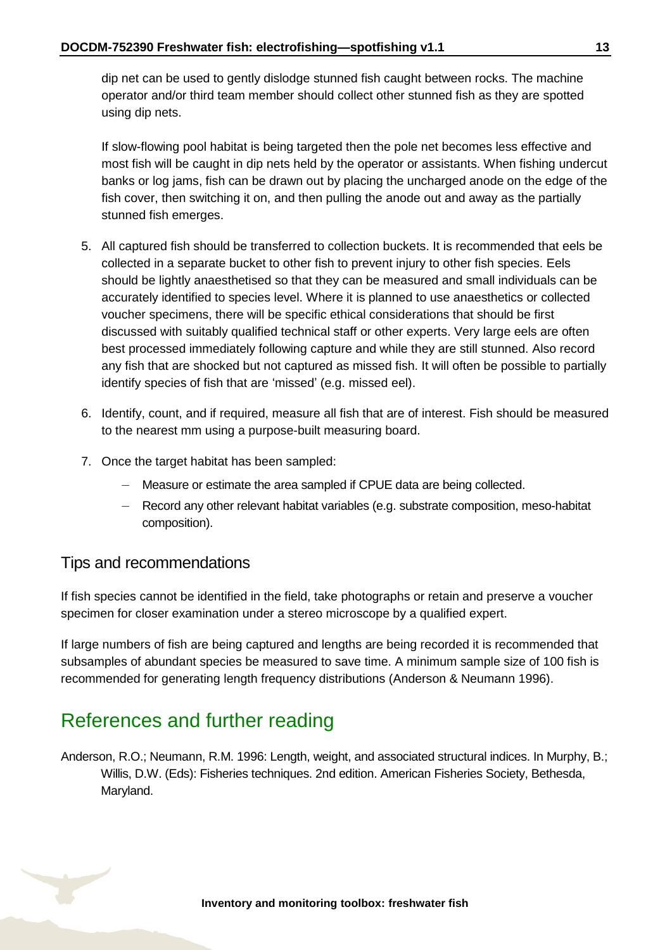dip net can be used to gently dislodge stunned fish caught between rocks. The machine operator and/or third team member should collect other stunned fish as they are spotted using dip nets.

If slow-flowing pool habitat is being targeted then the pole net becomes less effective and most fish will be caught in dip nets held by the operator or assistants. When fishing undercut banks or log jams, fish can be drawn out by placing the uncharged anode on the edge of the fish cover, then switching it on, and then pulling the anode out and away as the partially stunned fish emerges.

- 5. All captured fish should be transferred to collection buckets. It is recommended that eels be collected in a separate bucket to other fish to prevent injury to other fish species. Eels should be lightly anaesthetised so that they can be measured and small individuals can be accurately identified to species level. Where it is planned to use anaesthetics or collected voucher specimens, there will be specific ethical considerations that should be first discussed with suitably qualified technical staff or other experts. Very large eels are often best processed immediately following capture and while they are still stunned. Also record any fish that are shocked but not captured as missed fish. It will often be possible to partially identify species of fish that are 'missed' (e.g. missed eel).
- 6. Identify, count, and if required, measure all fish that are of interest. Fish should be measured to the nearest mm using a purpose-built measuring board.
- 7. Once the target habitat has been sampled:
	- Measure or estimate the area sampled if CPUE data are being collected.
	- Record any other relevant habitat variables (e.g. substrate composition, meso-habitat composition).

#### Tips and recommendations

If fish species cannot be identified in the field, take photographs or retain and preserve a voucher specimen for closer examination under a stereo microscope by a qualified expert.

If large numbers of fish are being captured and lengths are being recorded it is recommended that subsamples of abundant species be measured to save time. A minimum sample size of 100 fish is recommended for generating length frequency distributions (Anderson & Neumann 1996).

### <span id="page-12-0"></span>References and further reading

Anderson, R.O.; Neumann, R.M. 1996: Length, weight, and associated structural indices. In Murphy, B.; Willis, D.W. (Eds): Fisheries techniques. 2nd edition. American Fisheries Society, Bethesda, Maryland.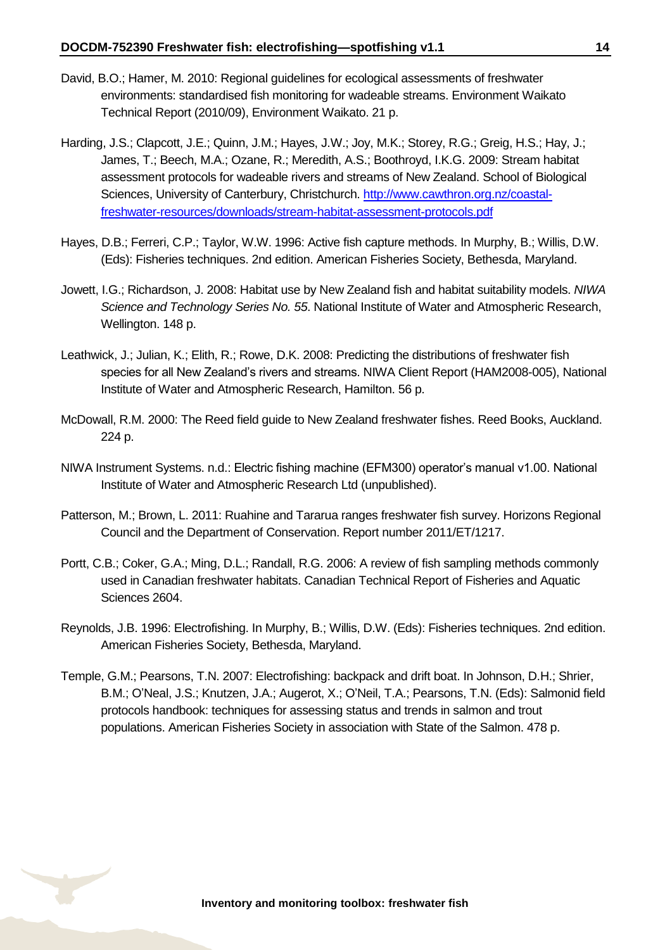- David, B.O.; Hamer, M. 2010: Regional guidelines for ecological assessments of freshwater environments: standardised fish monitoring for wadeable streams. Environment Waikato Technical Report (2010/09), Environment Waikato. 21 p.
- Harding, J.S.; Clapcott, J.E.; Quinn, J.M.; Hayes, J.W.; Joy, M.K.; Storey, R.G.; Greig, H.S.; Hay, J.; James, T.; Beech, M.A.; Ozane, R.; Meredith, A.S.; Boothroyd, I.K.G. 2009: Stream habitat assessment protocols for wadeable rivers and streams of New Zealand. School of Biological Sciences, University of Canterbury, Christchurch. [http://www.cawthron.org.nz/coastal](http://www.cawthron.org.nz/coastal-freshwater-resources/downloads/stream-habitat-assessment-protocols.pdf)[freshwater-resources/downloads/stream-habitat-assessment-protocols.pdf](http://www.cawthron.org.nz/coastal-freshwater-resources/downloads/stream-habitat-assessment-protocols.pdf)
- Hayes, D.B.; Ferreri, C.P.; Taylor, W.W. 1996: Active fish capture methods. In Murphy, B.; Willis, D.W. (Eds): Fisheries techniques. 2nd edition. American Fisheries Society, Bethesda, Maryland.
- Jowett, I.G.; Richardson, J. 2008: Habitat use by New Zealand fish and habitat suitability models. *NIWA Science and Technology Series No. 55*. National Institute of Water and Atmospheric Research, Wellington. 148 p.
- Leathwick, J.; Julian, K.; Elith, R.; Rowe, D.K. 2008: Predicting the distributions of freshwater fish species for all New Zealand's rivers and streams. NIWA Client Report (HAM2008-005), National Institute of Water and Atmospheric Research, Hamilton. 56 p.
- McDowall, R.M. 2000: The Reed field guide to New Zealand freshwater fishes. Reed Books, Auckland. 224 p.
- NIWA Instrument Systems. n.d.: Electric fishing machine (EFM300) operator's manual v1.00. National Institute of Water and Atmospheric Research Ltd (unpublished).
- Patterson, M.; Brown, L. 2011: Ruahine and Tararua ranges freshwater fish survey. Horizons Regional Council and the Department of Conservation. Report number 2011/ET/1217.
- Portt, C.B.; Coker, G.A.; Ming, D.L.; Randall, R.G. 2006: A review of fish sampling methods commonly used in Canadian freshwater habitats. Canadian Technical Report of Fisheries and Aquatic Sciences 2604.
- Reynolds, J.B. 1996: Electrofishing. In Murphy, B.; Willis, D.W. (Eds): Fisheries techniques. 2nd edition. American Fisheries Society, Bethesda, Maryland.
- Temple, G.M.; Pearsons, T.N. 2007: Electrofishing: backpack and drift boat. In Johnson, D.H.; Shrier, B.M.; O'Neal, J.S.; Knutzen, J.A.; Augerot, X.; O'Neil, T.A.; Pearsons, T.N. (Eds): Salmonid field protocols handbook: techniques for assessing status and trends in salmon and trout populations. American Fisheries Society in association with State of the Salmon. 478 p.